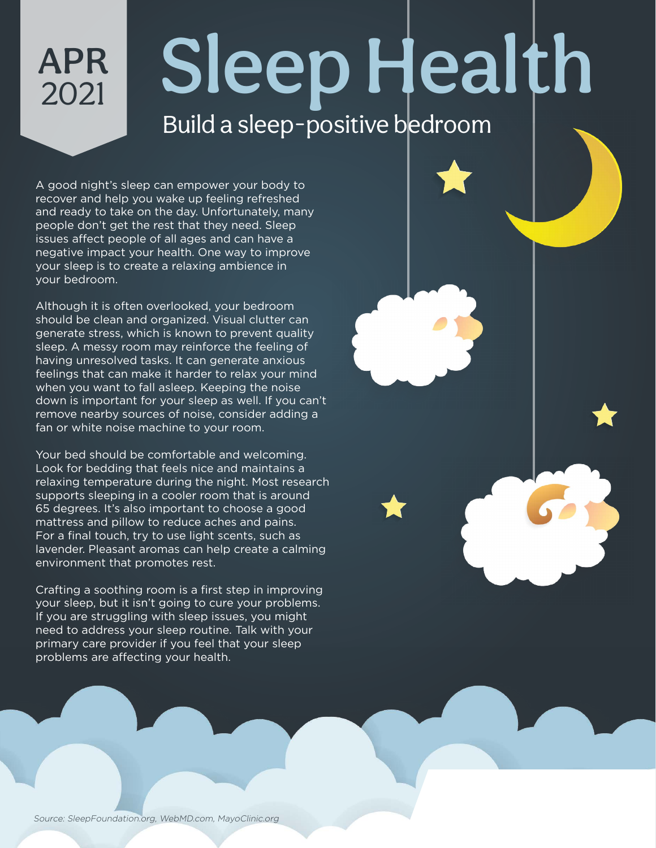Sleep Health Build a sleep-positive bedroom

## A good night's sleep can empower your body to recover and help you wake up feeling refreshed and ready to take on the day. Unfortunately, many people don't get the rest that they need. Sleep issues affect people of all ages and can have a negative impact your health. One way to improve your sleep is to create a relaxing ambience in your bedroom.

APR

2021

Although it is often overlooked, your bedroom should be clean and organized. Visual clutter can generate stress, which is known to prevent quality sleep. A messy room may reinforce the feeling of having unresolved tasks. It can generate anxious feelings that can make it harder to relax your mind when you want to fall asleep. Keeping the noise down is important for your sleep as well. If you can't remove nearby sources of noise, consider adding a fan or white noise machine to your room.

Your bed should be comfortable and welcoming. Look for bedding that feels nice and maintains a relaxing temperature during the night. Most research supports sleeping in a cooler room that is around 65 degrees. It's also important to choose a good mattress and pillow to reduce aches and pains. For a final touch, try to use light scents, such as lavender. Pleasant aromas can help create a calming environment that promotes rest.

Crafting a soothing room is a first step in improving your sleep, but it isn't going to cure your problems. If you are struggling with sleep issues, you might need to address your sleep routine. Talk with your primary care provider if you feel that your sleep problems are affecting your health.

Source: SleepFoundation.org, WebMD.com, MayoClinic.org